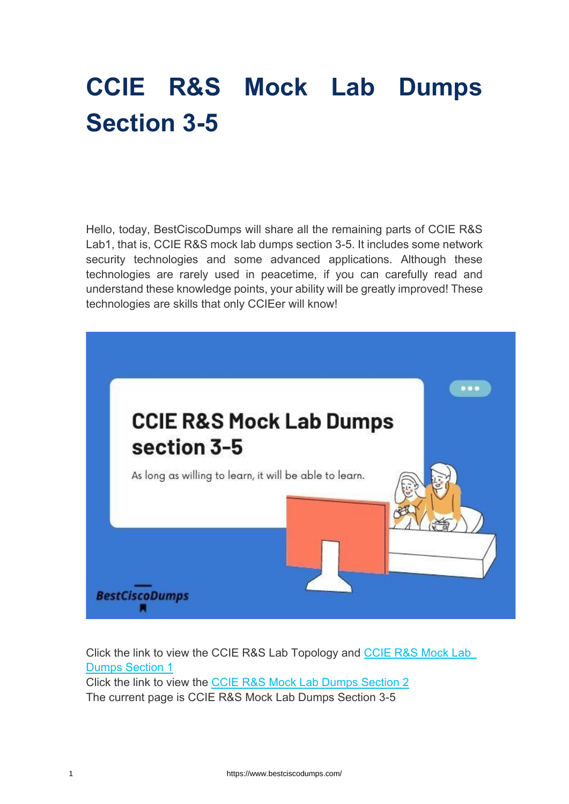# **CCIE R&S Mock Lab Dumps Section 3-5**

Hello, today, BestCiscoDumps will share all the remaining parts of CCIE R&S Lab1, that is, CCIE R&S mock lab dumps section 3-5. It includes some network security technologies and some advanced applications. Although these technologies are rarely used in peacetime, if you can carefully read and understand these knowledge points, your ability will be greatly improved! These technologies are skills that only CCIEer will know!



Click the link to view the CCIE R&S Lab Topology and [CCIE R&S Mock Lab](https://www.bestciscodumps.com/news/ccie-r-s-lab-dumps-free-download-section-1)  [Dumps Section 1](https://www.bestciscodumps.com/news/ccie-r-s-lab-dumps-free-download-section-1)

Click the link to view the [CCIE R&S Mock Lab Dumps Section 2](https://www.bestciscodumps.com/news/ccie-r-s-v5-lab-workbook-pdf-section-2) The current page is CCIE R&S Mock Lab Dumps Section 3-5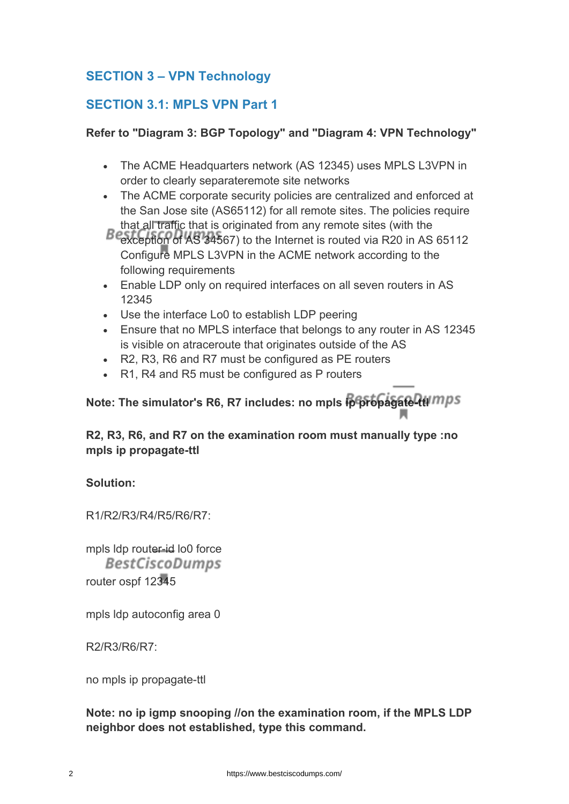## **SECTION 3 – VPN Technology**

## **SECTION 3.1: MPLS VPN Part 1**

## **Refer to "Diagram 3: BGP Topology" and "Diagram 4: VPN Technology"**

- The ACME Headquarters network (AS 12345) uses MPLS L3VPN in order to clearly separateremote site networks
- The ACME corporate security policies are centralized and enforced at the San Jose site (AS65112) for all remote sites. The policies require that all traffic that is originated from any remote sites (with the
- exception of AS 34567) to the Internet is routed via R20 in AS 65112 Configure MPLS L3VPN in the ACME network according to the following requirements
- Enable LDP only on required interfaces on all seven routers in AS 12345
- Use the interface Lo0 to establish LDP peering
- Ensure that no MPLS interface that belongs to any router in AS 12345 is visible on atraceroute that originates outside of the AS
- R2, R3, R6 and R7 must be configured as PE routers
- R1, R4 and R5 must be configured as P routers

## **Note: The simulator's R6, R7 includes: no mpls ip propagate til mps**

## **R2, R3, R6, and R7 on the examination room must manually type :no mpls ip propagate-ttl**

## **Solution:**

R1/R2/R3/R4/R5/R6/R7:

mpls ldp router-id lo0 force **BestCiscoDumps** router ospf 12345

mpls ldp autoconfig area 0

R2/R3/R6/R7:

no mpls ip propagate-ttl

**Note: no ip igmp snooping //on the examination room, if the MPLS LDP neighbor does not established, type this command.**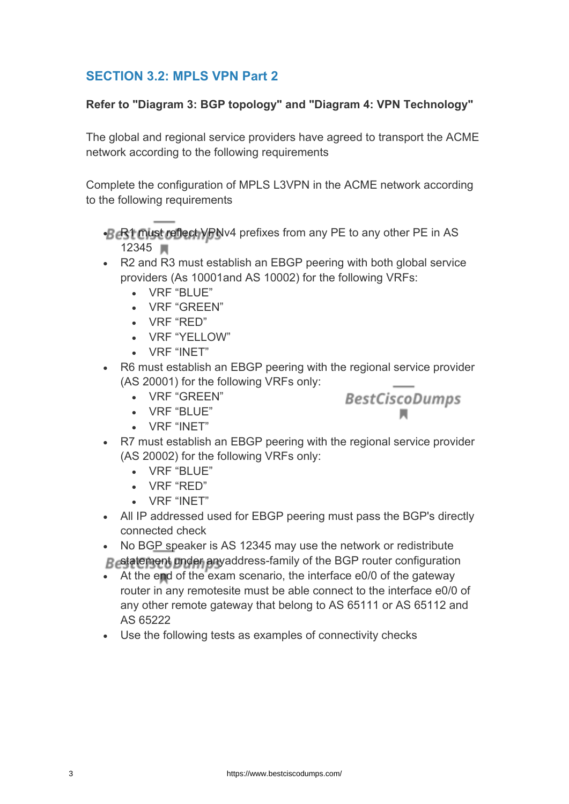## **SECTION 3.2: MPLS VPN Part 2**

## **Refer to "Diagram 3: BGP topology" and "Diagram 4: VPN Technology"**

The global and regional service providers have agreed to transport the ACME network according to the following requirements

Complete the configuration of MPLS L3VPN in the ACME network according to the following requirements

• **R1 must reflect VPNv4** prefixes from any PE to any other PE in AS 12345

- R2 and R3 must establish an EBGP peering with both global service providers (As 10001and AS 10002) for the following VRFs:
	- VRF "BLUE"
	- VRF "GREEN"
	- VRF "RED"
	- VRF "YELLOW"
	- VRF "INET"
- R6 must establish an EBGP peering with the regional service provider (AS 20001) for the following VRFs only:
	- VRF "GREEN"
	- VRF "BLUE"
	- VRF "INET"



- R7 must establish an EBGP peering with the regional service provider (AS 20002) for the following VRFs only:
	- VRF "BLUE"
	- VRF "RED"
	- VRF "INET"
- All IP addressed used for EBGP peering must pass the BGP's directly connected check
- No BGP speaker is AS 12345 may use the network or redistribute statement under anyaddress-family of the BGP router configuration
- At the end of the exam scenario, the interface e0/0 of the gateway router in any remotesite must be able connect to the interface e0/0 of any other remote gateway that belong to AS 65111 or AS 65112 and AS 65222
- Use the following tests as examples of connectivity checks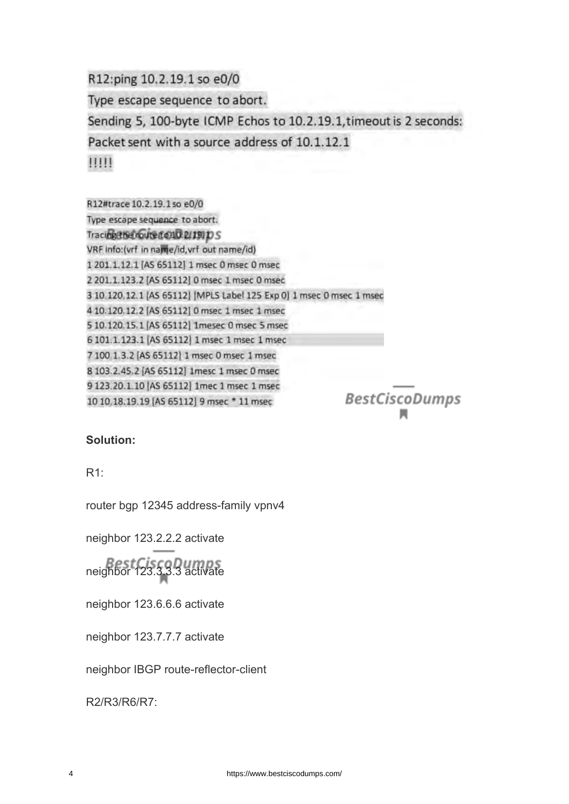R12:ping 10.2.19.1 so e0/0 Type escape sequence to abort. Sending 5, 100-byte ICMP Echos to 10.2.19.1, timeout is 2 seconds: Packet sent with a source address of 10.1.12.1 ШШ

R12#trace 10.2.19.1 so e0/0 Type escape sequence to abort. Tracingeternouse condi 2/1911) S VRF info:(vrf in name/id, vrf out name/id) 1 201.1.12.1 [AS 65112] 1 msec 0 msec 0 msec 2 201.1.123.2 [AS 65112] 0 msec 1 msec 0 msec 3 10 120 12.1 (AS 65112) (MPLS Label 125 Exp 0) 1 msec 0 msec 1 msec 4 10.120.12.2 [AS 65112] 0 msec 1 msec 1 msec 5 10.120.15.1 [AS 65112] 1mesec 0 msec 5 msec 6 101.1.123.1 [AS 65112] 1 msec 1 msec 1 msec 7 100 1.3.2 [AS 65112] 1 msec 0 msec 1 msec 8 103.2.45.2 [AS 65112] 1mesc 1 msec 0 msec 9 123.20.1.10 [AS 65112] 1mec 1 msec 1 msec 10 10 18.19.19 [AS 65112] 9 msec \* 11 msec

**BestCiscoDumps** 

**Solution:**

R1:

router bgp 12345 address-family vpnv4

neighbor 123.2.2.2 activate

neighbor 123.3.3.3 activate

neighbor 123.6.6.6 activate

neighbor 123.7.7.7 activate

neighbor IBGP route-reflector-client

R2/R3/R6/R7: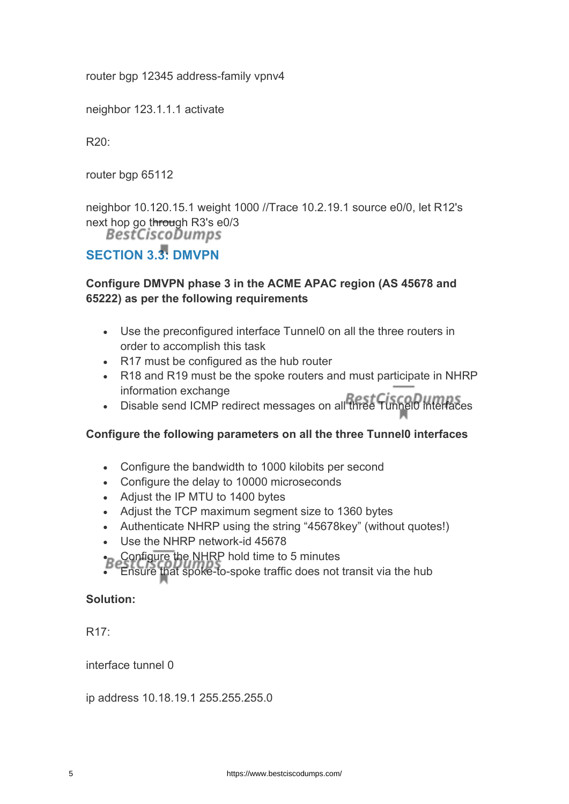router bgp 12345 address-family vpnv4

neighbor 123.1.1.1 activate

R20:

router bgp 65112

neighbor 10.120.15.1 weight 1000 //Trace 10.2.19.1 source e0/0, let R12's next hop go through R3's e0/3<br>BestCiscoDumps

## **SECTION 3.3: DMVPN**

## **Configure DMVPN phase 3 in the ACME APAC region (AS 45678 and 65222) as per the following requirements**

- Use the preconfigured interface Tunnel0 on all the three routers in order to accomplish this task
- R17 must be configured as the hub router
- R18 and R19 must be the spoke routers and must participate in NHRP information exchange
- Disable send ICMP redirect messages on all three Tunnel0 interfaces

#### **Configure the following parameters on all the three Tunnel0 interfaces**

- Configure the bandwidth to 1000 kilobits per second
- Configure the delay to 10000 microseconds
- Adjust the IP MTU to 1400 bytes
- Adjust the TCP maximum segment size to 1360 bytes
- Authenticate NHRP using the string "45678key" (without quotes!)
- Use the NHRP network-id 45678
- Configure the NHRP hold time to 5 minutes
- Ensure that spoke-to-spoke traffic does not transit via the hub

#### **Solution:**

R17:

interface tunnel 0

ip address 10.18.19.1 255.255.255.0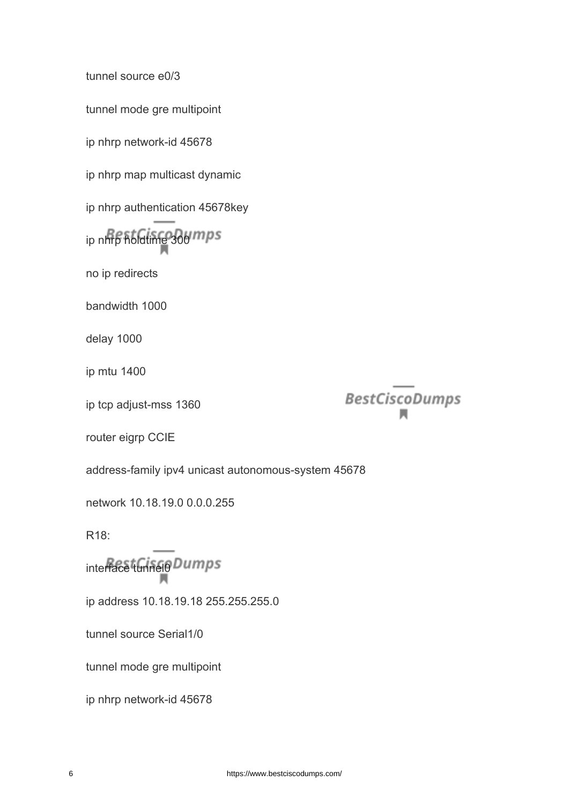tunnel source e0/3

tunnel mode gre multipoint

ip nhrp network-id 45678

ip nhrp map multicast dynamic

ip nhrp authentication 45678key

ip nhrp holdtime 300 mps

no ip redirects

bandwidth 1000

delay 1000

ip mtu 1400

ip tcp adjust-mss 1360

**BestCiscoDumps** 

router eigrp CCIE

address-family ipv4 unicast autonomous-system 45678

network 10.18.19.0 0.0.0.255

R18:

interface tunnelo Dumps

ip address 10.18.19.18 255.255.255.0

tunnel source Serial1/0

tunnel mode gre multipoint

ip nhrp network-id 45678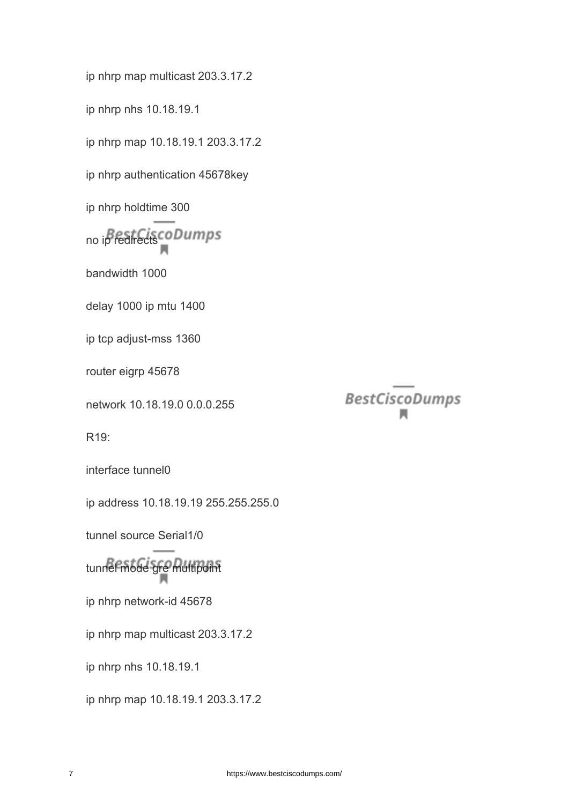ip nhrp map multicast 203.3.17.2 ip nhrp nhs 10.18.19.1 ip nhrp map 10.18.19.1 203.3.17.2 ip nhrp authentication 45678key ip nhrp holdtime 300 no ipredirects coDumps bandwidth 1000 delay 1000 ip mtu 1400 ip tcp adjust-mss 1360 router eigrp 45678 network 10.18.19.0 0.0.0.255 R19: interface tunnel0 ip address 10.18.19.19 255.255.255.0 tunnel source Serial1/0 tunnel mode gre multipoint ip nhrp network-id 45678 ip nhrp map multicast 203.3.17.2 ip nhrp nhs 10.18.19.1 ip nhrp map 10.18.19.1 203.3.17.2

**BestCiscoDumps**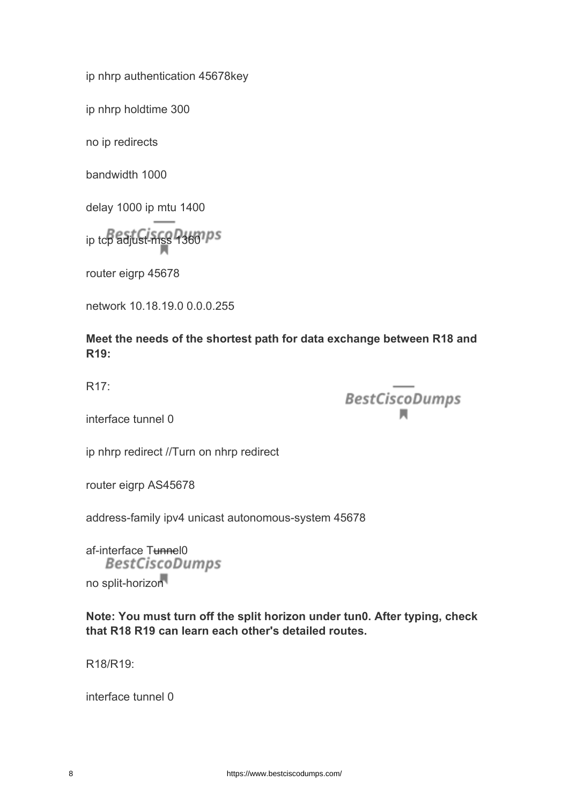ip nhrp authentication 45678key

ip nhrp holdtime 300

no ip redirects

bandwidth 1000

delay 1000 ip mtu 1400

ip tcp adjust-mss 1360 ps

router eigrp 45678

network 10.18.19.0 0.0.0.255

**Meet the needs of the shortest path for data exchange between R18 and R19:**

R17:

interface tunnel 0

BestCiscoDumps

ip nhrp redirect //Turn on nhrp redirect

router eigrp AS45678

address-family ipv4 unicast autonomous-system 45678

af-interface Tunnel0<br>BestCiscoDumps no split-horizon

**Note: You must turn off the split horizon under tun0. After typing, check that R18 R19 can learn each other's detailed routes.**

R18/R19:

interface tunnel 0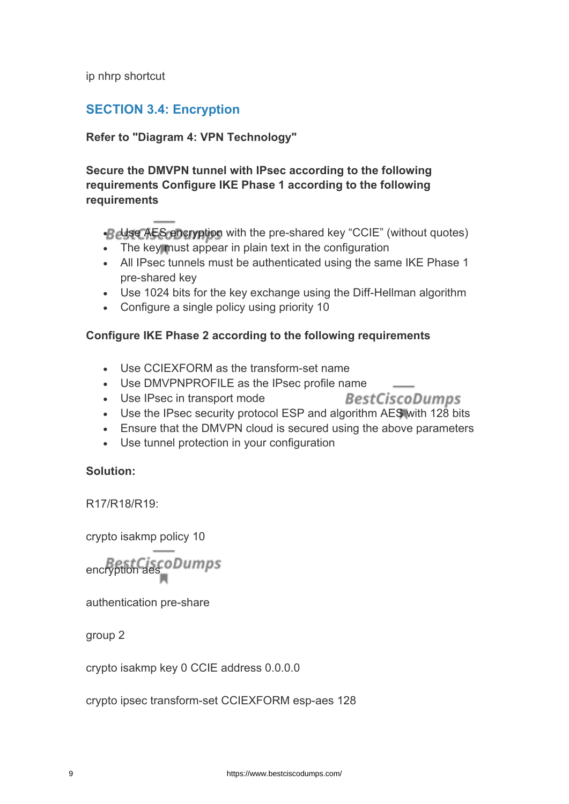ip nhrp shortcut

## **SECTION 3.4: Encryption**

## **Refer to "Diagram 4: VPN Technology"**

**Secure the DMVPN tunnel with IPsec according to the following requirements Configure IKE Phase 1 according to the following requirements**

• B Use AES encryption with the pre-shared key "CCIE" (without quotes)

- The key must appear in plain text in the configuration
- All IPsec tunnels must be authenticated using the same IKE Phase 1 pre-shared key
- Use 1024 bits for the key exchange using the Diff-Hellman algorithm
- Configure a single policy using priority 10

### **Configure IKE Phase 2 according to the following requirements**

- Use CCIEXFORM as the transform-set name
- Use DMVPNPROFILE as the IPsec profile name
- Use IPsec in transport mode **BestCiscoDumps**
- Use the IPsec security protocol ESP and algorithm AES with 128 bits
- Ensure that the DMVPN cloud is secured using the above parameters
- Use tunnel protection in your configuration

#### **Solution:**

R17/R18/R19:

crypto isakmp policy 10

encryption aes pumps

authentication pre-share

group 2

crypto isakmp key 0 CCIE address 0.0.0.0

crypto ipsec transform-set CCIEXFORM esp-aes 128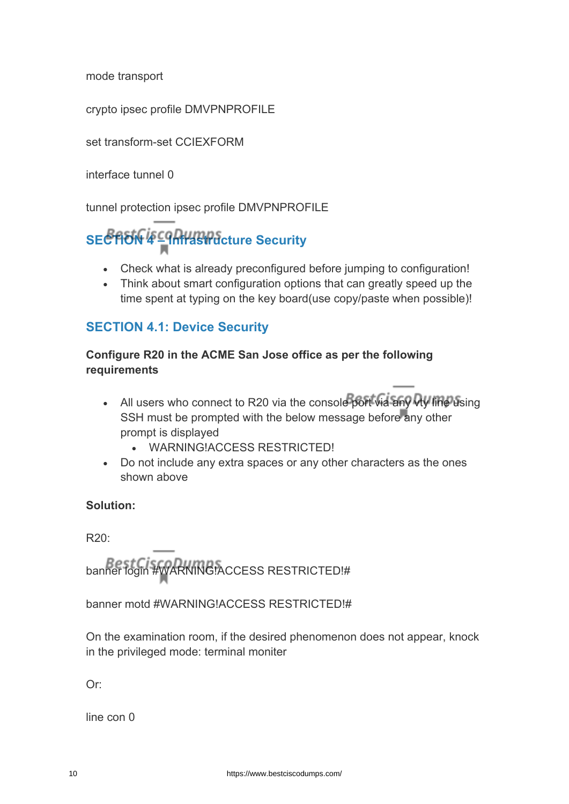mode transport

crypto ipsec profile DMVPNPROFILE

set transform-set CCIEXFORM

interface tunnel 0

tunnel protection ipsec profile DMVPNPROFILE

## **SECTION 4 – Infrastructure Security**

- Check what is already preconfigured before jumping to configuration!
- Think about smart configuration options that can greatly speed up the time spent at typing on the key board(use copy/paste when possible)!

## **SECTION 4.1: Device Security**

## **Configure R20 in the ACME San Jose office as per the following requirements**

- All users who connect to R20 via the console port via any vty line using SSH must be prompted with the below message before any other prompt is displayed
	- WARNING!ACCESS RESTRICTED!
- Do not include any extra spaces or any other characters as the ones shown above

## **Solution:**

R20:

banner login #WARNING!ACCESS RESTRICTED!#

banner motd #WARNING!ACCESS RESTRICTED!#

On the examination room, if the desired phenomenon does not appear, knock in the privileged mode: terminal moniter

Or:

line con 0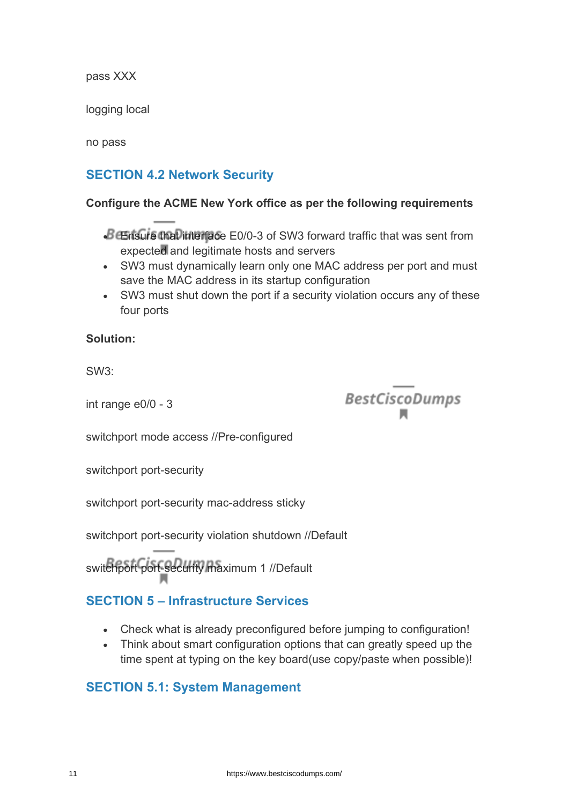pass XXX

logging local

no pass

## **SECTION 4.2 Network Security**

#### **Configure the ACME New York office as per the following requirements**

- Ensure that interface E0/0-3 of SW3 forward traffic that was sent from expected and legitimate hosts and servers
- SW3 must dynamically learn only one MAC address per port and must save the MAC address in its startup configuration
- SW3 must shut down the port if a security violation occurs any of these four ports

#### **Solution:**

SW3:

int range e0/0 - 3

**BestCiscoDumps** 

switchport mode access //Pre-configured

switchport port-security

switchport port-security mac-address sticky

switchport port-security violation shutdown //Default

switchport port-security maximum 1 //Default

## **SECTION 5 – Infrastructure Services**

- Check what is already preconfigured before jumping to configuration!
- Think about smart configuration options that can greatly speed up the time spent at typing on the key board(use copy/paste when possible)!

## **SECTION 5.1: System Management**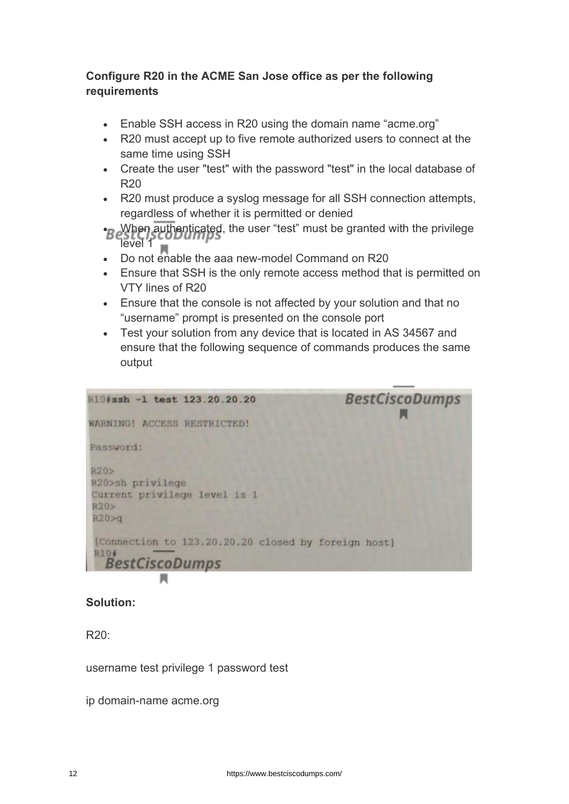## **Configure R20 in the ACME San Jose office as per the following requirements**

- Enable SSH access in R20 using the domain name "acme.org"
- R20 must accept up to five remote authorized users to connect at the same time using SSH
- Create the user "test" with the password "test" in the local database of R20
- R20 must produce a syslog message for all SSH connection attempts, regardless of whether it is permitted or denied
- Besten authenticated, the user "test" must be granted with the privilege level 1<br>level 1
- Do not enable the aaa new-model Command on R20
- Ensure that SSH is the only remote access method that is permitted on VTY lines of R20
- Ensure that the console is not affected by your solution and that no "username" prompt is presented on the console port
- Test your solution from any device that is located in AS 34567 and ensure that the following sequence of commands produces the same output



#### **Solution:**

R20:

username test privilege 1 password test

ip domain-name acme.org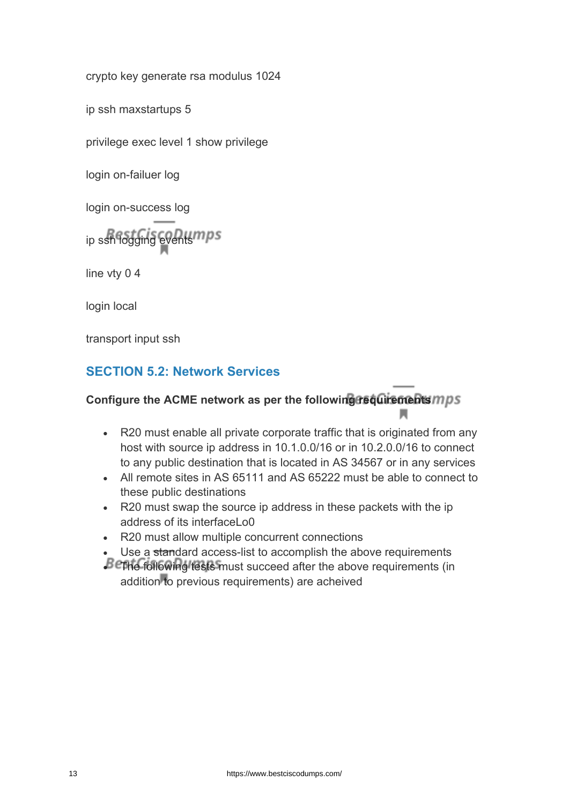crypto key generate rsa modulus 1024

ip ssh maxstartups 5

privilege exec level 1 show privilege

login on-failuer log

login on-success log

ip ssh fogging events mps

line vty 0 4

login local

transport input ssh

## **SECTION 5.2: Network Services**

## **Configure the ACME network as per the following requirements**

- R20 must enable all private corporate traffic that is originated from any host with source ip address in 10.1.0.0/16 or in 10.2.0.0/16 to connect to any public destination that is located in AS 34567 or in any services
- All remote sites in AS 65111 and AS 65222 must be able to connect to these public destinations
- R20 must swap the source ip address in these packets with the ip address of its interfaceLo0
- R20 must allow multiple concurrent connections
- Use a standard access-list to accomplish the above requirements
- The following tests must succeed after the above requirements (in addition to previous requirements) are acheived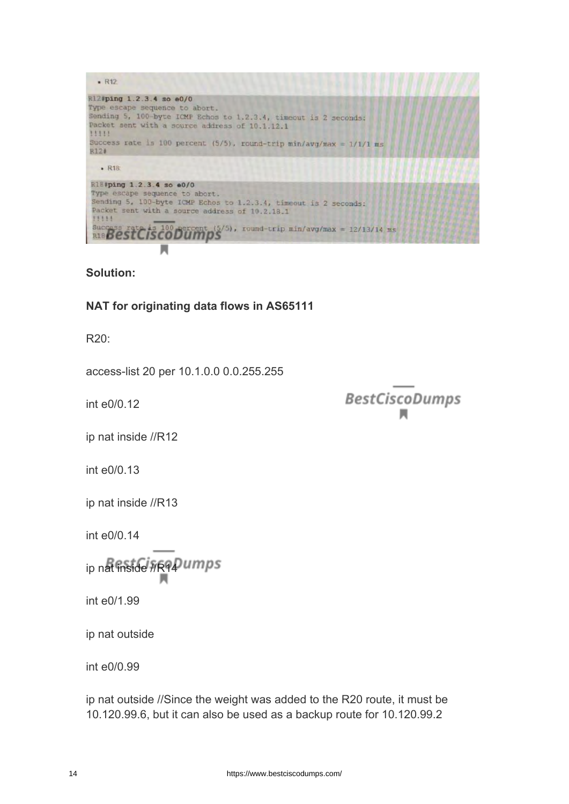

**Solution:**

**NAT for originating data flows in AS65111**

R20:

access-list 20 per 10.1.0.0 0.0.255.255

int e0/0.12

**BestCiscoDumps** 

ip nat inside //R12

int e0/0.13

ip nat inside //R13

int e0/0.14

ip nat inside #R94 umps

int e0/1.99

ip nat outside

int e0/0.99

ip nat outside //Since the weight was added to the R20 route, it must be 10.120.99.6, but it can also be used as a backup route for 10.120.99.2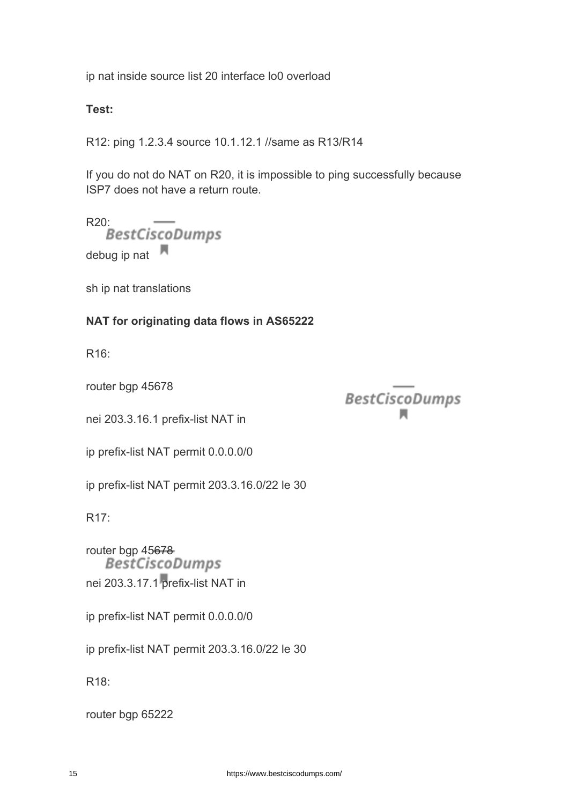ip nat inside source list 20 interface lo0 overload

**Test:**

R12: ping 1.2.3.4 source 10.1.12.1 //same as R13/R14

If you do not do NAT on R20, it is impossible to ping successfully because ISP7 does not have a return route.

**BestCiscoDumps** 

R20: RestCiscoDumps debug ip nat

sh ip nat translations

## **NAT for originating data flows in AS65222**

R16:

router bgp 45678

nei 203.3.16.1 prefix-list NAT in

ip prefix-list NAT permit 0.0.0.0/0

ip prefix-list NAT permit 203.3.16.0/22 le 30

R17:

router bgp 45678-<br>BestCiscoDumps nei 203.3.17.1 prefix-list NAT in

ip prefix-list NAT permit 0.0.0.0/0

ip prefix-list NAT permit 203.3.16.0/22 le 30

R18:

router bgp 65222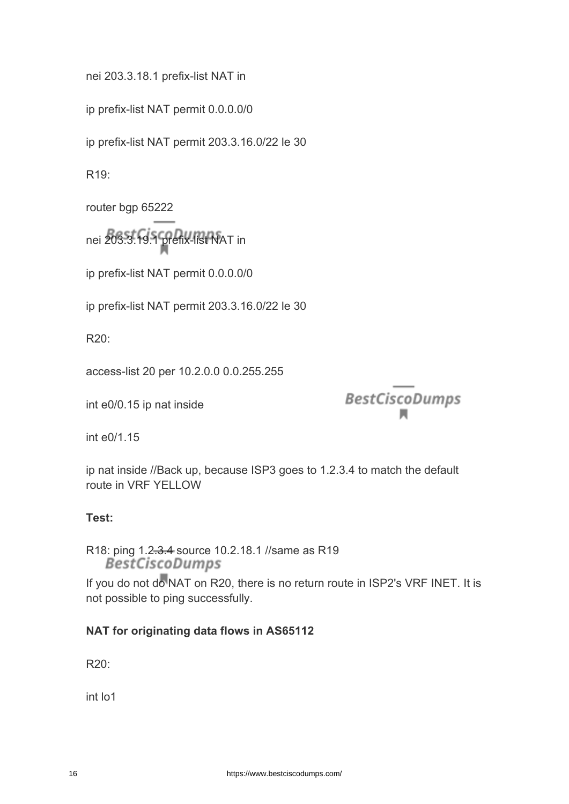nei 203.3.18.1 prefix-list NAT in

ip prefix-list NAT permit 0.0.0.0/0

ip prefix-list NAT permit 203.3.16.0/22 le 30

R19:

router bgp 65222

nei 203.3.19.19.1 prefix-list NAT in

ip prefix-list NAT permit 0.0.0.0/0

ip prefix-list NAT permit 203.3.16.0/22 le 30

R20:

access-list 20 per 10.2.0.0 0.0.255.255

int e0/0.15 ip nat inside

**BestCiscoDumps** 

int e0/1.15

ip nat inside //Back up, because ISP3 goes to 1.2.3.4 to match the default route in VRF YELLOW

#### **Test:**

R18: ping 1.2-3-4 source 10.2.18.1 //same as R19<br>BestCiscoDumps

If you do not do NAT on R20, there is no return route in ISP2's VRF INET. It is not possible to ping successfully.

#### **NAT for originating data flows in AS65112**

R20:

int lo1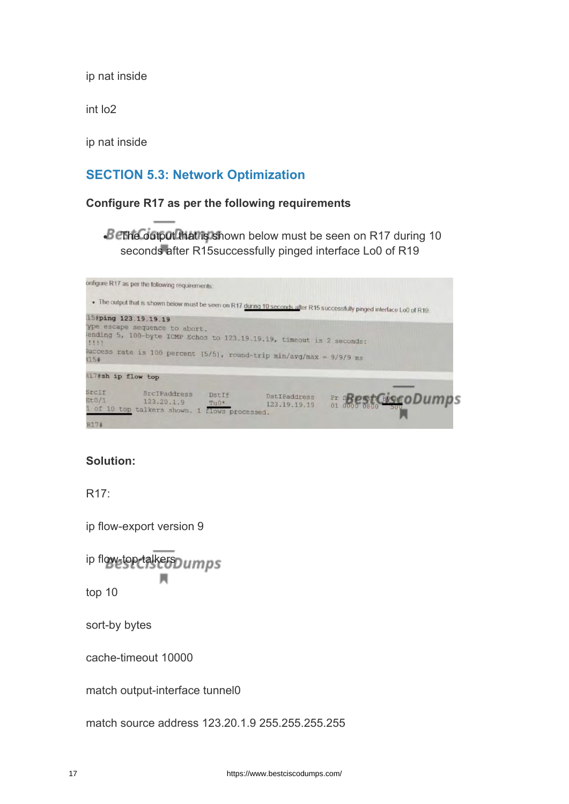ip nat inside

int lo2

ip nat inside

## **SECTION 5.3: Network Optimization**

### **Configure R17 as per the following requirements**

• The output that is shown below must be seen on R17 during 10 seconds after R15successfully pinged interface Lo0 of R19

| onfigure R17 as per the following requirements.                                                                                                                                                                          |               |                                     |                                                                                                                            |
|--------------------------------------------------------------------------------------------------------------------------------------------------------------------------------------------------------------------------|---------------|-------------------------------------|----------------------------------------------------------------------------------------------------------------------------|
|                                                                                                                                                                                                                          |               |                                     | . The output that is shown below must be seen on R17 during 10 seconds after R15 successfully pinged interface Lo0 of R19. |
| 15#ping 123.19.19.19<br>ype escape sequence to abort.<br>ending 5, 100-byte ICMP Echos to 123.19.19.19, timeout is 2 seconds:<br>1111<br>Success rate is 100 percent $(5/5)$ , round-trip min/avg/max = 9/9/9 ms<br>315# |               |                                     |                                                                                                                            |
| R17#sh ip flow top                                                                                                                                                                                                       |               |                                     |                                                                                                                            |
| SrcIf<br>SrcIPaddress<br>Et0/1<br>123.20.1.9<br>1 of 10 top talkers shown. 1 flows processed.<br>R17#                                                                                                                    | DstIf<br>Tu0* | <b>DstIPaddress</b><br>123.19.19.19 | Br seest@iscoDumps                                                                                                         |

#### **Solution:**

R17:

ip flow-export version 9

```
ip flow-top-talkerspumps
 л
```
top 10

sort-by bytes

cache-timeout 10000

match output-interface tunnel0

match source address 123.20.1.9 255.255.255.255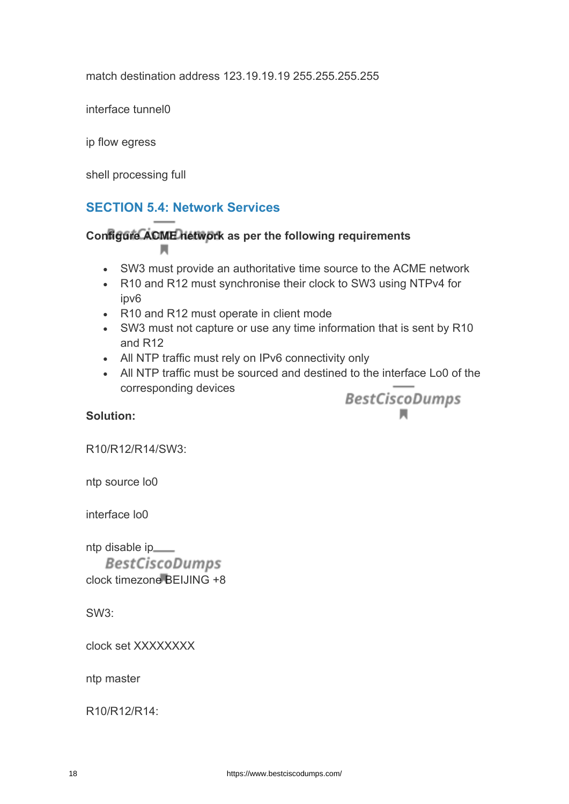match destination address 123.19.19.19 255.255.255.255

interface tunnel0

ip flow egress

shell processing full

## **SECTION 5.4: Network Services**

**Configure ACME network as per the following requirements**

- SW3 must provide an authoritative time source to the ACME network
- R10 and R12 must synchronise their clock to SW3 using NTPv4 for ipv6
- R10 and R12 must operate in client mode
- SW3 must not capture or use any time information that is sent by R10 and R12
- All NTP traffic must rely on IPv6 connectivity only
- All NTP traffic must be sourced and destined to the interface Lo0 of the corresponding devices

BestCiscoDumps<br> $\blacksquare$ 

## **Solution:**

R10/R12/R14/SW3:

ntp source lo0

interface lo0

ntp disable ip **BestCiscoDumps** clock timezone BEIJING +8

SW3:

clock set XXXXXXXX

ntp master

R10/R12/R14: